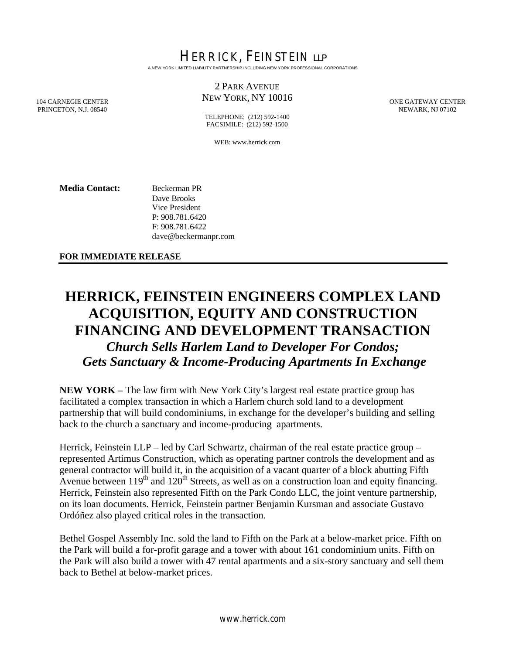HERRICK, FEINSTEIN LLP A NEW YORK LIMITED LIABILITY PARTNERSHIP INCLUDING NEW YORK PROFESSIONAL CORPORATIONS

## 2 PARK AVENUE NEW YORK, NY 10016

ONE GATEWAY CENTER NEWARK, NJ 07102

104 CARNEGIE CENTER PRINCETON, N.J. 08540

TELEPHONE: (212) 592-1400 FACSIMILE: (212) 592-1500

WEB: www.herrick.com

**Media Contact:** Beckerman PR Dave Brooks Vice President P: 908.781.6420 F: 908.781.6422 dave@beckermanpr.com

**FOR IMMEDIATE RELEASE** 

## **HERRICK, FEINSTEIN ENGINEERS COMPLEX LAND ACQUISITION, EQUITY AND CONSTRUCTION FINANCING AND DEVELOPMENT TRANSACTION**  *Church Sells Harlem Land to Developer For Condos; Gets Sanctuary & Income-Producing Apartments In Exchange*

**NEW YORK –** The law firm with New York City's largest real estate practice group has facilitated a complex transaction in which a Harlem church sold land to a development partnership that will build condominiums, in exchange for the developer's building and selling back to the church a sanctuary and income-producing apartments.

Herrick, Feinstein LLP – led by Carl Schwartz, chairman of the real estate practice group – represented Artimus Construction, which as operating partner controls the development and as general contractor will build it, in the acquisition of a vacant quarter of a block abutting Fifth Avenue between  $119<sup>th</sup>$  and  $120<sup>th</sup>$  Streets, as well as on a construction loan and equity financing. Herrick, Feinstein also represented Fifth on the Park Condo LLC, the joint venture partnership, on its loan documents. Herrick, Feinstein partner Benjamin Kursman and associate Gustavo Ordóñez also played critical roles in the transaction.

Bethel Gospel Assembly Inc. sold the land to Fifth on the Park at a below-market price. Fifth on the Park will build a for-profit garage and a tower with about 161 condominium units. Fifth on the Park will also build a tower with 47 rental apartments and a six-story sanctuary and sell them back to Bethel at below-market prices.